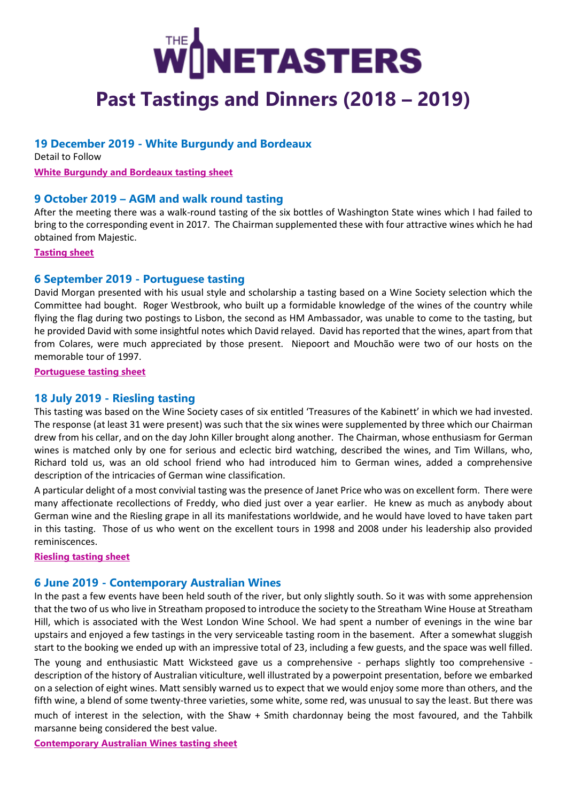# **NETASTERS**

# **Past Tastings and Dinners (2018 – 2019)**

# **19 December 2019 - White Burgundy and Bordeaux**

Detail to Follow **[White Burgundy and Bordeaux tasting sheet](https://7089a910-e19d-4e4b-819f-1a3421db3590.filesusr.com/ugd/62eacc_b3cbaf0bf045418f9dd4c3d6e5d1c02c.pdf)**

# **9 October 2019 – AGM and walk round tasting**

After the meeting there was a walk-round tasting of the six bottles of Washington State wines which I had failed to bring to the corresponding event in 2017. The Chairman supplemented these with four attractive wines which he had obtained from Majestic.

**[Tasting sheet](https://7089a910-e19d-4e4b-819f-1a3421db3590.filesusr.com/ugd/62eacc_a5164a8c858147409e59bf30930708a3.pdf)**

# **6 September 2019 - Portuguese tasting**

David Morgan presented with his usual style and scholarship a tasting based on a Wine Society selection which the Committee had bought. Roger Westbrook, who built up a formidable knowledge of the wines of the country while flying the flag during two postings to Lisbon, the second as HM Ambassador, was unable to come to the tasting, but he provided David with some insightful notes which David relayed. David has reported that the wines, apart from that from Colares, were much appreciated by those present. Niepoort and Mouchão were two of our hosts on the memorable tour of 1997.

**[Portuguese tasting sheet](https://7089a910-e19d-4e4b-819f-1a3421db3590.filesusr.com/ugd/62eacc_d9ffc7dc5dea4a86b9143169e84f96e9.pdf)**

# **18 July 2019 - Riesling tasting**

This tasting was based on the Wine Society cases of six entitled 'Treasures of the Kabinett' in which we had invested. The response (at least 31 were present) was such that the six wines were supplemented by three which our Chairman drew from his cellar, and on the day John Killer brought along another. The Chairman, whose enthusiasm for German wines is matched only by one for serious and eclectic bird watching, described the wines, and Tim Willans, who, Richard told us, was an old school friend who had introduced him to German wines, added a comprehensive description of the intricacies of German wine classification.

A particular delight of a most convivial tasting was the presence of Janet Price who was on excellent form. There were many affectionate recollections of Freddy, who died just over a year earlier. He knew as much as anybody about German wine and the Riesling grape in all its manifestations worldwide, and he would have loved to have taken part in this tasting. Those of us who went on the excellent tours in 1998 and 2008 under his leadership also provided reminiscences.

#### **[Riesling tasting sheet](https://7089a910-e19d-4e4b-819f-1a3421db3590.filesusr.com/ugd/62eacc_0cc564cc6cd24dbd9000463034519c21.pdf)**

# **6 June 2019 - Contemporary Australian Wines**

In the past a few events have been held south of the river, but only slightly south. So it was with some apprehension that the two of us who live in Streatham proposed to introduce the society to the Streatham Wine House at Streatham Hill, which is associated with the West London Wine School. We had spent a number of evenings in the wine bar upstairs and enjoyed a few tastings in the very serviceable tasting room in the basement. After a somewhat sluggish start to the booking we ended up with an impressive total of 23, including a few guests, and the space was well filled. The young and enthusiastic Matt Wicksteed gave us a comprehensive - perhaps slightly too comprehensive description of the history of Australian viticulture, well illustrated by a powerpoint presentation, before we embarked on a selection of eight wines. Matt sensibly warned us to expect that we would enjoy some more than others, and the fifth wine, a blend of some twenty-three varieties, some white, some red, was unusual to say the least. But there was much of interest in the selection, with the Shaw + Smith chardonnay being the most favoured, and the Tahbilk marsanne being considered the best value.

**[Contemporary Australian Wines tasting sheet](https://7089a910-e19d-4e4b-819f-1a3421db3590.filesusr.com/ugd/62eacc_8985262632e84d5e889fa17847015b82.pdf)**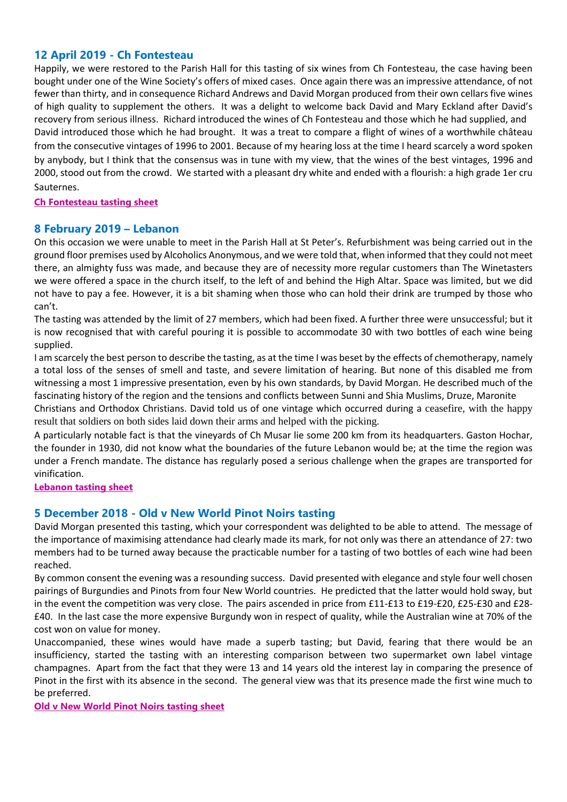#### **12 April 2019 - Ch Fontesteau**

Happily, we were restored to the Parish Hall for this tasting of six wines from Ch Fontesteau, the case having been bought under one of the Wine Society's offers of mixed cases. Once again there was an impressive attendance, of not fewer than thirty, and in consequence Richard Andrews and David Morgan produced from their own cellars five wines of high quality to supplement the others. It was a delight to welcome back David and Mary Eckland after David's recovery from serious illness. Richard introduced the wines of Ch Fontesteau and those which he had supplied, and David introduced those which he had brought. It was a treat to compare a flight of wines of a worthwhile château from the consecutive vintages of 1996 to 2001. Because of my hearing loss at the time I heard scarcely a word spoken by anybody, but I think that the consensus was in tune with my view, that the wines of the best vintages, 1996 and 2000, stood out from the crowd. We started with a pleasant dry white and ended with a flourish: a high grade 1er cru Sauternes.

#### **[Ch Fontesteau tasting sheet](https://7089a910-e19d-4e4b-819f-1a3421db3590.filesusr.com/ugd/62eacc_2c1d5f9a42ff43459384e0c74b8fabac.pdf)**

### **8 February 2019 – Lebanon**

On this occasion we were unable to meet in the Parish Hall at St Peter's. Refurbishment was being carried out in the ground floor premises used by Alcoholics Anonymous, and we were told that, when informed that they could not meet there, an almighty fuss was made, and because they are of necessity more regular customers than The Winetasters we were offered a space in the church itself, to the left of and behind the High Altar. Space was limited, but we did not have to pay a fee. However, it is a bit shaming when those who can hold their drink are trumped by those who can't.

The tasting was attended by the limit of 27 members, which had been fixed. A further three were unsuccessful; but it is now recognised that with careful pouring it is possible to accommodate 30 with two bottles of each wine being supplied.

I am scarcely the best person to describe the tasting, as at the time I was beset by the effects of chemotherapy, namely a total loss of the senses of smell and taste, and severe limitation of hearing. But none of this disabled me from witnessing a most 1 impressive presentation, even by his own standards, by David Morgan. He described much of the fascinating history of the region and the tensions and conflicts between Sunni and Shia Muslims, Druze, Maronite

Christians and Orthodox Christians. David told us of one vintage which occurred during a ceasefire, with the happy result that soldiers on both sides laid down their arms and helped with the picking.

A particularly notable fact is that the vineyards of Ch Musar lie some 200 km from its headquarters. Gaston Hochar, the founder in 1930, did not know what the boundaries of the future Lebanon would be; at the time the region was under a French mandate. The distance has regularly posed a serious challenge when the grapes are transported for vinification.

**[Lebanon tasting sheet](https://7089a910-e19d-4e4b-819f-1a3421db3590.filesusr.com/ugd/62eacc_67dba58548ce447aac1d5c6eb6508c38.pdf)**

#### **5 December 2018 - Old v New World Pinot Noirs tasting**

David Morgan presented this tasting, which your correspondent was delighted to be able to attend. The message of the importance of maximising attendance had clearly made its mark, for not only was there an attendance of 27: two members had to be turned away because the practicable number for a tasting of two bottles of each wine had been reached.

By common consent the evening was a resounding success. David presented with elegance and style four well chosen pairings of Burgundies and Pinots from four New World countries. He predicted that the latter would hold sway, but in the event the competition was very close. The pairs ascended in price from £11-£13 to £19-£20, £25-£30 and £28- £40. In the last case the more expensive Burgundy won in respect of quality, while the Australian wine at 70% of the cost won on value for money.

Unaccompanied, these wines would have made a superb tasting; but David, fearing that there would be an insufficiency, started the tasting with an interesting comparison between two supermarket own label vintage champagnes. Apart from the fact that they were 13 and 14 years old the interest lay in comparing the presence of Pinot in the first with its absence in the second. The general view was that its presence made the first wine much to be preferred.

**[Old v New World Pinot Noirs tasting sheet](https://7089a910-e19d-4e4b-819f-1a3421db3590.filesusr.com/ugd/62eacc_56e4b4f3539b4b568c1b5ffd551d6ba6.pdf)**